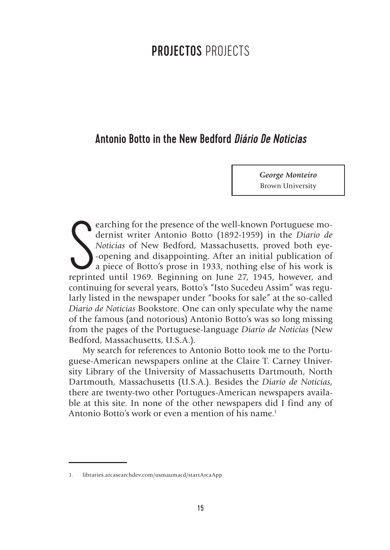## PROJECTOS PROJECTS

## Antonio Botto in the New Bedford *Diário De Noticias*

*George Monteiro* Brown University

earching for the presence of the well-known Portuguese mo-<br>dernist writer Antonio Botto (1892-1959) in the *Diario de*<br>Noticias of New Bedford, Massachusetts, proved both eye-<br>opening and disappointing. After an initial pu earching for the presence of the well-known Portuguese modernist writer Antonio Botto (1892-1959) in the *Diario de Noticias* of New Bedford, Massachusetts, proved both eye- -opening and disappointing. After an initial publication of a piece of Botto's prose in 1933, nothing else of his work is continuing for several years, Botto's "Isto Sucedeu Assim" was regularly listed in the newspaper under "books for sale" at the so-called *Diario de Noticias* Bookstore. One can only speculate why the name of the famous (and notorious) Antonio Botto's was so long missing from the pages of the Portuguese-language *Diario de Noticias* (New Bedford, Massachusetts, U.S.A.).

My search for references to Antonio Botto took me to the Portuguese-American newspapers online at the Claire T. Carney University Library of the University of Massachusetts Dartmouth, North Dartmouth, Massachusetts (U.S.A.). Besides the *Diario de Noticias*, there are twenty-two other Portugues-American newspapers available at this site. In none of the other newspapers did I find any of Antonio Botto's work or even a mention of his name.1

<sup>1.</sup> libraries.arcasearchdev.com/usmaumacd/startArcaApp